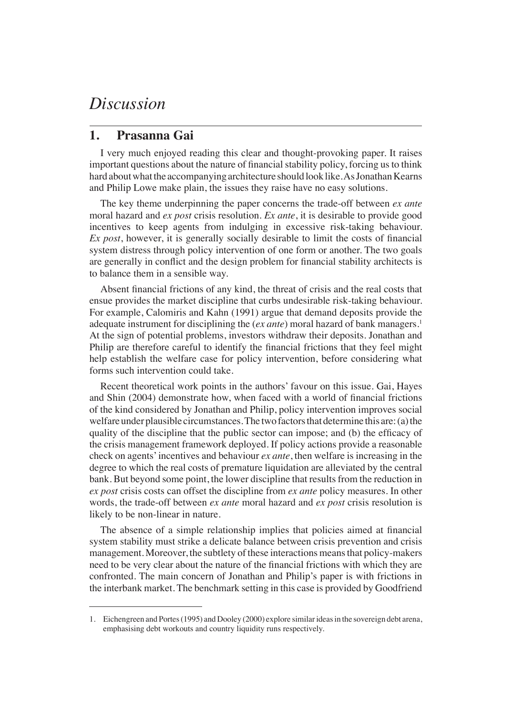## *Discussion*

## **1. Prasanna Gai**

I very much enjoyed reading this clear and thought-provoking paper. It raises important questions about the nature of financial stability policy, forcing us to think hard about what the accompanying architecture should look like. As Jonathan Kearns and Philip Lowe make plain, the issues they raise have no easy solutions.

The key theme underpinning the paper concerns the trade-off between *ex ante* moral hazard and *ex post* crisis resolution. *Ex ante*, it is desirable to provide good incentives to keep agents from indulging in excessive risk-taking behaviour. *Ex post*, however, it is generally socially desirable to limit the costs of financial system distress through policy intervention of one form or another. The two goals are generally in conflict and the design problem for financial stability architects is to balance them in a sensible way.

Absent financial frictions of any kind, the threat of crisis and the real costs that ensue provides the market discipline that curbs undesirable risk-taking behaviour. For example, Calomiris and Kahn (1991) argue that demand deposits provide the adequate instrument for disciplining the (*ex ante*) moral hazard of bank managers.<sup>1</sup> At the sign of potential problems, investors withdraw their deposits. Jonathan and Philip are therefore careful to identify the financial frictions that they feel might help establish the welfare case for policy intervention, before considering what forms such intervention could take.

Recent theoretical work points in the authors' favour on this issue. Gai, Hayes and Shin (2004) demonstrate how, when faced with a world of financial frictions of the kind considered by Jonathan and Philip, policy intervention improves social welfare under plausible circumstances. The two factors that determine this are: (a) the quality of the discipline that the public sector can impose; and (b) the efficacy of the crisis management framework deployed. If policy actions provide a reasonable check on agents' incentives and behaviour *ex ante*, then welfare is increasing in the degree to which the real costs of premature liquidation are alleviated by the central bank. But beyond some point, the lower discipline that results from the reduction in *ex post* crisis costs can offset the discipline from *ex ante* policy measures. In other words, the trade-off between *ex ante* moral hazard and *ex post* crisis resolution is likely to be non-linear in nature.

The absence of a simple relationship implies that policies aimed at financial system stability must strike a delicate balance between crisis prevention and crisis management. Moreover, the subtlety of these interactions means that policy-makers need to be very clear about the nature of the financial frictions with which they are confronted. The main concern of Jonathan and Philip's paper is with frictions in the interbank market. The benchmark setting in this case is provided by Goodfriend

<sup>1.</sup> Eichengreen and Portes (1995) and Dooley (2000) explore similar ideas in the sovereign debt arena, emphasising debt workouts and country liquidity runs respectively.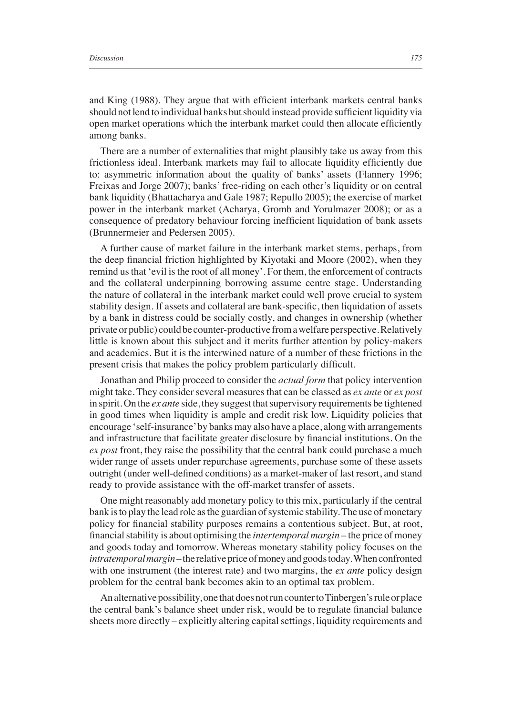and King (1988). They argue that with efficient interbank markets central banks should not lend to individual banks but should instead provide sufficient liquidity via open market operations which the interbank market could then allocate efficiently among banks.

There are a number of externalities that might plausibly take us away from this frictionless ideal. Interbank markets may fail to allocate liquidity efficiently due to: asymmetric information about the quality of banks' assets (Flannery 1996; Freixas and Jorge 2007); banks' free-riding on each other's liquidity or on central bank liquidity (Bhattacharya and Gale 1987; Repullo 2005); the exercise of market power in the interbank market (Acharya, Gromb and Yorulmazer 2008); or as a consequence of predatory behaviour forcing inefficient liquidation of bank assets (Brunnermeier and Pedersen 2005).

A further cause of market failure in the interbank market stems, perhaps, from the deep financial friction highlighted by Kiyotaki and Moore  $(2002)$ , when they remind us that 'evil is the root of all money'. For them, the enforcement of contracts and the collateral underpinning borrowing assume centre stage. Understanding the nature of collateral in the interbank market could well prove crucial to system stability design. If assets and collateral are bank-specific, then liquidation of assets by a bank in distress could be socially costly, and changes in ownership (whether private or public) could be counter-productive from a welfare perspective. Relatively little is known about this subject and it merits further attention by policy-makers and academics. But it is the interwined nature of a number of these frictions in the present crisis that makes the policy problem particularly difficult.

Jonathan and Philip proceed to consider the *actual form* that policy intervention might take. They consider several measures that can be classed as *ex ante* or *ex post* in spirit. On the *ex ante* side, they suggest that supervisory requirements be tightened in good times when liquidity is ample and credit risk low. Liquidity policies that encourage 'self-insurance' by banks may also have a place, along with arrangements and infrastructure that facilitate greater disclosure by financial institutions. On the *ex post* front, they raise the possibility that the central bank could purchase a much wider range of assets under repurchase agreements, purchase some of these assets outright (under well-defined conditions) as a market-maker of last resort, and stand ready to provide assistance with the off-market transfer of assets.

One might reasonably add monetary policy to this mix, particularly if the central bank is to play the lead role as the guardian of systemic stability. The use of monetary policy for financial stability purposes remains a contentious subject. But, at root, financial stability is about optimising the *intertemporal margin* – the price of money and goods today and tomorrow. Whereas monetary stability policy focuses on the *intratemporal margin* – the relative price of money and goods today. When confronted with one instrument (the interest rate) and two margins, the *ex ante* policy design problem for the central bank becomes akin to an optimal tax problem.

An alternative possibility, one that does not run counter to Tinbergen's rule or place the central bank's balance sheet under risk, would be to regulate financial balance sheets more directly – explicitly altering capital settings, liquidity requirements and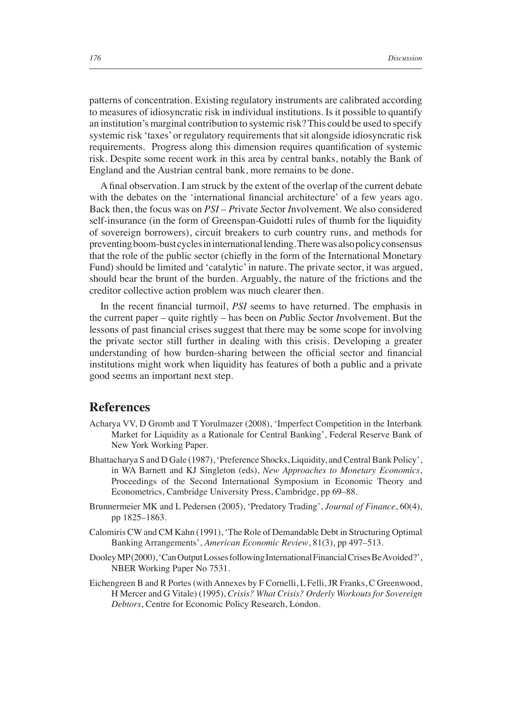patterns of concentration. Existing regulatory instruments are calibrated according to measures of idiosyncratic risk in individual institutions. Is it possible to quantify an institution's marginal contribution to systemic risk? This could be used to specify systemic risk 'taxes' or regulatory requirements that sit alongside idiosyncratic risk requirements. Progress along this dimension requires quantification of systemic risk. Despite some recent work in this area by central banks, notably the Bank of England and the Austrian central bank, more remains to be done.

A final observation. I am struck by the extent of the overlap of the current debate with the debates on the 'international financial architecture' of a few years ago. Back then, the focus was on *PSI* – *P*rivate *S*ector *I*nvolvement. We also considered self-insurance (in the form of Greenspan-Guidotti rules of thumb for the liquidity of sovereign borrowers), circuit breakers to curb country runs, and methods for preventing boom-bust cycles in international lending. There was also policy consensus that the role of the public sector (chiefly in the form of the International Monetary Fund) should be limited and 'catalytic' in nature. The private sector, it was argued, should bear the brunt of the burden. Arguably, the nature of the frictions and the creditor collective action problem was much clearer then.

In the recent financial turmoil, *PSI* seems to have returned. The emphasis in the current paper – quite rightly – has been on *P*ublic *S*ector *I*nvolvement. But the lessons of past financial crises suggest that there may be some scope for involving the private sector still further in dealing with this crisis. Developing a greater understanding of how burden-sharing between the official sector and financial institutions might work when liquidity has features of both a public and a private good seems an important next step.

## **References**

- Acharya VV, D Gromb and T Yorulmazer (2008), 'Imperfect Competition in the Interbank Market for Liquidity as a Rationale for Central Banking', Federal Reserve Bank of New York Working Paper.
- Bhattacharya S and D Gale (1987), 'Preference Shocks, Liquidity, and Central Bank Policy', in WA Barnett and KJ Singleton (eds), *New Approaches to Monetary Economics*, Proceedings of the Second International Symposium in Economic Theory and Econometrics, Cambridge University Press, Cambridge, pp 69–88.
- Brunnermeier MK and L Pedersen (2005), 'Predatory Trading', *Journal of Finance*, 60(4), pp 1825–1863.
- Calomiris CW and CM Kahn (1991), 'The Role of Demandable Debt in Structuring Optimal Banking Arrangements', *American Economic Review*, 81(3), pp 497–513.
- Dooley MP (2000), 'Can Output Losses following International Financial Crises Be Avoided?', NBER Working Paper No 7531.
- Eichengreen B and R Portes (with Annexes by F Cornelli, L Felli, JR Franks, C Greenwood, H Mercer and G Vitale) (1995), *Crisis? What Crisis? Orderly Workouts for Sovereign Debtors*, Centre for Economic Policy Research, London.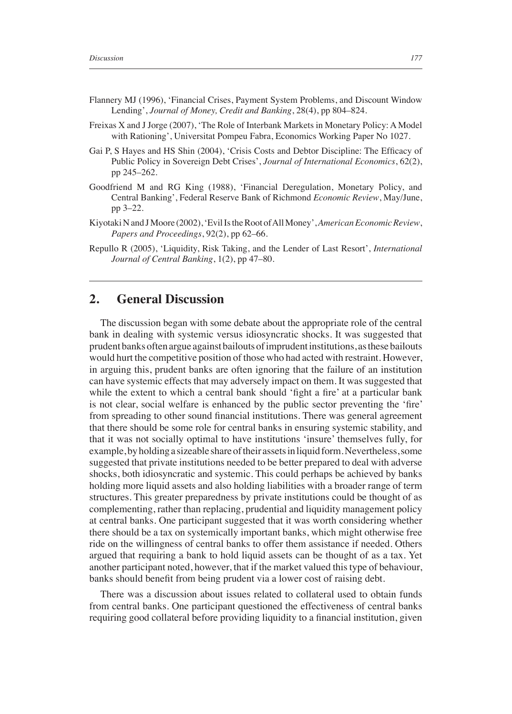- Flannery MJ (1996), 'Financial Crises, Payment System Problems, and Discount Window Lending', *Journal of Money, Credit and Banking*, 28(4), pp 804–824.
- Freixas X and J Jorge (2007), 'The Role of Interbank Markets in Monetary Policy: A Model with Rationing', Universitat Pompeu Fabra, Economics Working Paper No 1027.
- Gai P, S Hayes and HS Shin (2004), 'Crisis Costs and Debtor Discipline: The Efficacy of Public Policy in Sovereign Debt Crises', *Journal of International Economics*, 62(2), pp 245–262.
- Goodfriend M and RG King (1988), 'Financial Deregulation, Monetary Policy, and Central Banking', Federal Reserve Bank of Richmond *Economic Review*, May/June, pp 3–22.
- Kiyotaki N and J Moore (2002), 'Evil Is the Root of All Money', *American Economic Review*, *Papers and Proceedings*, 92(2), pp 62–66.
- Repullo R (2005), 'Liquidity, Risk Taking, and the Lender of Last Resort', *International Journal of Central Banking*, 1(2), pp 47–80.

## **2. General Discussion**

The discussion began with some debate about the appropriate role of the central bank in dealing with systemic versus idiosyncratic shocks. It was suggested that prudent banks often argue against bailouts of imprudent institutions, as these bailouts would hurt the competitive position of those who had acted with restraint. However, in arguing this, prudent banks are often ignoring that the failure of an institution can have systemic effects that may adversely impact on them. It was suggested that while the extent to which a central bank should 'fight a fire' at a particular bank is not clear, social welfare is enhanced by the public sector preventing the 'fire' from spreading to other sound financial institutions. There was general agreement that there should be some role for central banks in ensuring systemic stability, and that it was not socially optimal to have institutions 'insure' themselves fully, for example, by holding a sizeable share of their assets in liquid form. Nevertheless, some suggested that private institutions needed to be better prepared to deal with adverse shocks, both idiosyncratic and systemic. This could perhaps be achieved by banks holding more liquid assets and also holding liabilities with a broader range of term structures. This greater preparedness by private institutions could be thought of as complementing, rather than replacing, prudential and liquidity management policy at central banks. One participant suggested that it was worth considering whether there should be a tax on systemically important banks, which might otherwise free ride on the willingness of central banks to offer them assistance if needed. Others argued that requiring a bank to hold liquid assets can be thought of as a tax. Yet another participant noted, however, that if the market valued this type of behaviour, banks should benefit from being prudent via a lower cost of raising debt.

There was a discussion about issues related to collateral used to obtain funds from central banks. One participant questioned the effectiveness of central banks requiring good collateral before providing liquidity to a financial institution, given